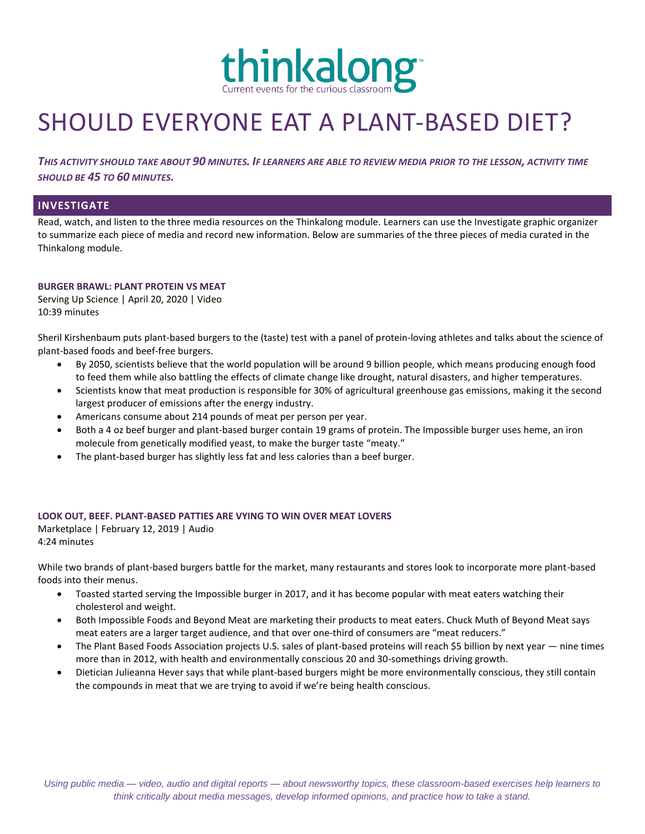

# SHOULD EVERYONE EAT A PLANT-BASED DIET?

*THIS ACTIVITY SHOULD TAKE ABOUT 90 MINUTES. IF LEARNERS ARE ABLE TO REVIEW MEDIA PRIOR TO THE LESSON, ACTIVITY TIME SHOULD BE 45 TO 60 MINUTES.*

### **INVESTIGATE**

Read, watch, and listen to the three media resources on the Thinkalong module. Learners can use the Investigate graphic organizer to summarize each piece of media and record new information. Below are summaries of the three pieces of media curated in the Thinkalong module.

#### **BURGER BRAWL: PLANT PROTEIN VS MEAT**

Serving Up Science | April 20, 2020 | Video 10:39 minutes

Sheril Kirshenbaum puts plant-based burgers to the (taste) test with a panel of protein-loving athletes and talks about the science of plant-based foods and beef-free burgers.

- By 2050, scientists believe that the world population will be around 9 billion people, which means producing enough food to feed them while also battling the effects of climate change like drought, natural disasters, and higher temperatures.
- Scientists know that meat production is responsible for 30% of agricultural greenhouse gas emissions, making it the second largest producer of emissions after the energy industry.
- Americans consume about 214 pounds of meat per person per year.
- Both a 4 oz beef burger and plant-based burger contain 19 grams of protein. The Impossible burger uses heme, an iron molecule from genetically modified yeast, to make the burger taste "meaty."
- The plant-based burger has slightly less fat and less calories than a beef burger.

#### **LOOK OUT, BEEF. PLANT-BASED PATTIES ARE VYING TO WIN OVER MEAT LOVERS**

Marketplace | February 12, 2019 | Audio 4:24 minutes

While two brands of plant-based burgers battle for the market, many restaurants and stores look to incorporate more plant-based foods into their menus.

- Toasted started serving the Impossible burger in 2017, and it has become popular with meat eaters watching their cholesterol and weight.
- Both Impossible Foods and Beyond Meat are marketing their products to meat eaters. Chuck Muth of Beyond Meat says meat eaters are a larger target audience, and that over one-third of consumers are "meat reducers."
- The Plant Based Foods Association projects U.S. sales of plant-based proteins will reach \$5 billion by next year nine times more than in 2012, with health and environmentally conscious 20 and 30-somethings driving growth.
- Dietician Julieanna Hever says that while plant-based burgers might be more environmentally conscious, they still contain the compounds in meat that we are trying to avoid if we're being health conscious.